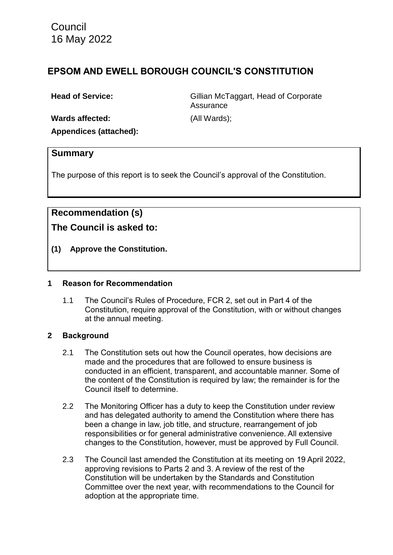Council 16 May 2022

# **EPSOM AND EWELL BOROUGH COUNCIL'S CONSTITUTION**

**Head of Service:** Gillian McTaggart, Head of Corporate **Assurance Wards affected:** (All Wards);

**Appendices (attached):** 

### **Summary**

The purpose of this report is to seek the Council's approval of the Constitution.

# **Recommendation (s)**

**The Council is asked to:**

**(1) Approve the Constitution.**

#### **1 Reason for Recommendation**

1.1 The Council's Rules of Procedure, FCR 2, set out in Part 4 of the Constitution, require approval of the Constitution, with or without changes at the annual meeting.

### **2 Background**

- 2.1 The Constitution sets out how the Council operates, how decisions are made and the procedures that are followed to ensure business is conducted in an efficient, transparent, and accountable manner. Some of the content of the Constitution is required by law; the remainder is for the Council itself to determine.
- 2.2 The Monitoring Officer has a duty to keep the Constitution under review and has delegated authority to amend the Constitution where there has been a change in law, job title, and structure, rearrangement of job responsibilities or for general administrative convenience. All extensive changes to the Constitution, however, must be approved by Full Council.
- 2.3 The Council last amended the Constitution at its meeting on 19 April 2022, approving revisions to Parts 2 and 3. A review of the rest of the Constitution will be undertaken by the Standards and Constitution Committee over the next year, with recommendations to the Council for adoption at the appropriate time.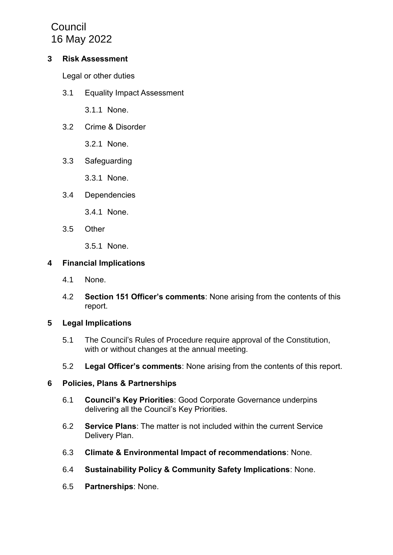**Council** 16 May 2022

#### **3 Risk Assessment**

Legal or other duties

3.1 Equality Impact Assessment

3.1.1 None.

3.2 Crime & Disorder

3.2.1 None.

3.3 Safeguarding

3.3.1 None.

3.4 Dependencies

3.4.1 None.

3.5 Other

3.5.1 None.

### **4 Financial Implications**

- 4.1 None.
- 4.2 **Section 151 Officer's comments**: None arising from the contents of this report.

### **5 Legal Implications**

- 5.1 The Council's Rules of Procedure require approval of the Constitution, with or without changes at the annual meeting.
- 5.2 **Legal Officer's comments**: None arising from the contents of this report.

#### **6 Policies, Plans & Partnerships**

- 6.1 **Council's Key Priorities**: Good Corporate Governance underpins delivering all the Council's Key Priorities.
- 6.2 **Service Plans**: The matter is not included within the current Service Delivery Plan.
- 6.3 **Climate & Environmental Impact of recommendations**: None.
- 6.4 **Sustainability Policy & Community Safety Implications**: None.
- 6.5 **Partnerships**: None.